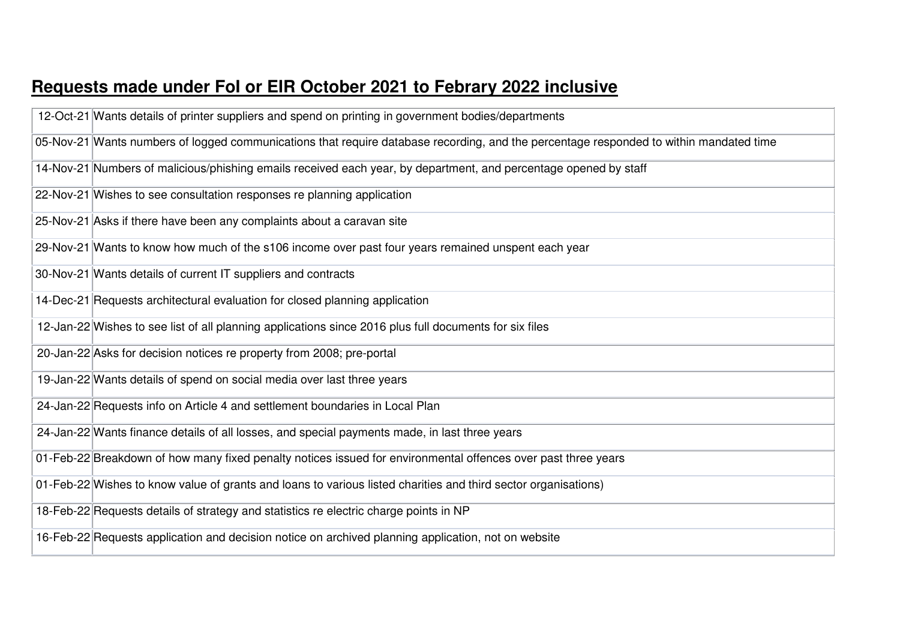## **Requests made under FoI or EIR October 2021 to Febrary 2022 inclusive**

| 12-Oct-21 Wants details of printer suppliers and spend on printing in government bodies/departments                                    |
|----------------------------------------------------------------------------------------------------------------------------------------|
| 05-Nov-21 Wants numbers of logged communications that require database recording, and the percentage responded to within mandated time |
| 14-Nov-21 Numbers of malicious/phishing emails received each year, by department, and percentage opened by staff                       |
| 22-Nov-21 Wishes to see consultation responses re planning application                                                                 |
| 25-Nov-21 Asks if there have been any complaints about a caravan site                                                                  |
| 29-Nov-21 Wants to know how much of the s106 income over past four years remained unspent each year                                    |
| 30-Nov-21 Wants details of current IT suppliers and contracts                                                                          |
| 14-Dec-21 Requests architectural evaluation for closed planning application                                                            |
| 12-Jan-22 Wishes to see list of all planning applications since 2016 plus full documents for six files                                 |
| 20-Jan-22 Asks for decision notices re property from 2008; pre-portal                                                                  |
| 19-Jan-22 Wants details of spend on social media over last three years                                                                 |
| 24-Jan-22 Requests info on Article 4 and settlement boundaries in Local Plan                                                           |
| 24-Jan-22 Wants finance details of all losses, and special payments made, in last three years                                          |
| 01-Feb-22 Breakdown of how many fixed penalty notices issued for environmental offences over past three years                          |
| 01-Feb-22 Wishes to know value of grants and loans to various listed charities and third sector organisations)                         |
| 18-Feb-22 Requests details of strategy and statistics re electric charge points in NP                                                  |
| 16-Feb-22 Requests application and decision notice on archived planning application, not on website                                    |
|                                                                                                                                        |